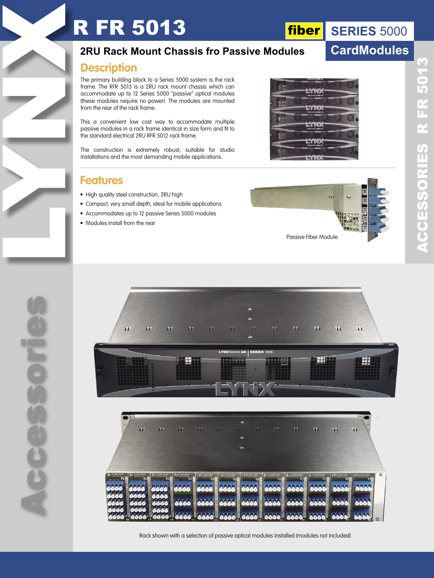# **R FR 5013**

# **fiber** SERIES 5000

## **CardModules**

### **2RU Rack Mount Chassis fro Passive Modules**

### **Description**

The primary building block to a Series 5000 system is the rack frame. The RFR 5013 is a 2RU rack mount chassis which can accommodate up to 12 Series 5000 "passive" optical modules (these modules require no power). The modules are mounted from the rear of the rack frame.

This a convenient low cost way to accommodate multiple passive modules in a rack frame identical in size form and fit to the standard electrical 2RU RFR 5012 rack frame.

The construction is extremely robust, suitable for studio installations and the most demanding mobile applications.

### **Features**

- High quality steel construction, 2RU high
- Compact, very small depth, ideal for mobile applications
- Accommodates up to 12 passive Series 5000 modules
- Modules install from the rear



**EYND** 

**EYNY** 

EYN)

**37102** 

H.

H

Ħ



Rack shown with a selection of passive optical modules installed (modules not included)

Accessories **CCCE** 

LYNX